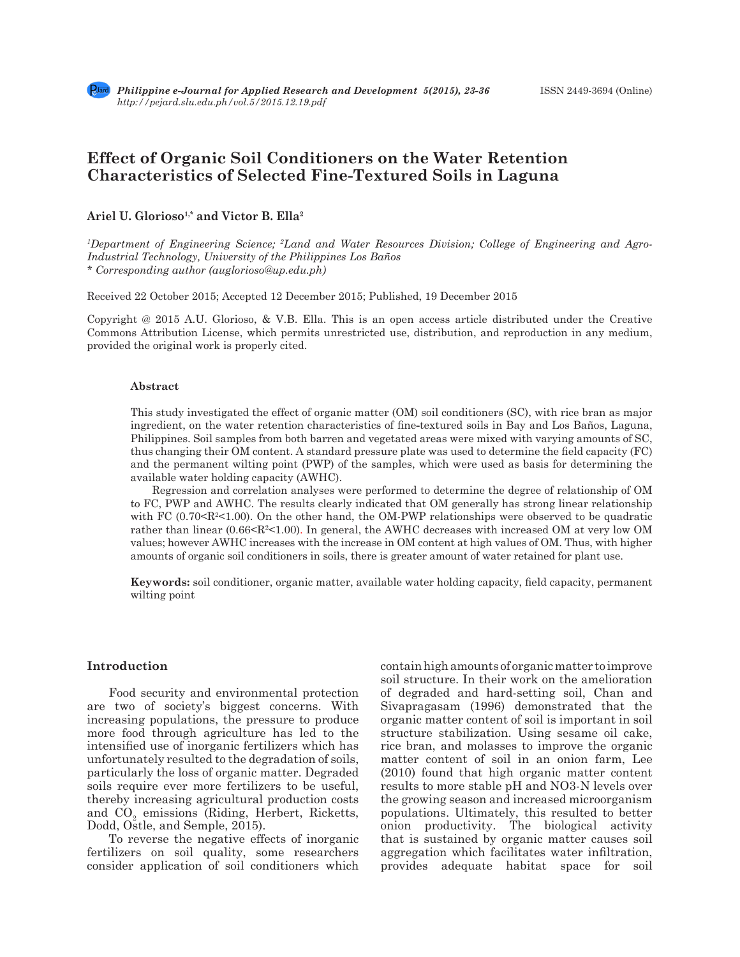

Philippine e-Journal for Applied Research and Development 5(2015), 23-36 ISSN 2449-3694 (Online) *http://pejard.slu.edu.ph/vol.5/2015.12.19.pdf*

# **Effect of Organic Soil Conditioners on the Water Retention Characteristics of Selected Fine-Textured Soils in Laguna**

## Ariel U. Glorioso<sup>1,\*</sup> and Victor B. Ella<sup>2</sup>

*1 Department of Engineering Science; 2 Land and Water Resources Division; College of Engineering and Agro-Industrial Technology, University of the Philippines Los Baños \* Corresponding author (auglorioso@up.edu.ph)*

Received 22 October 2015; Accepted 12 December 2015; Published, 19 December 2015

Copyright @ 2015 A.U. Glorioso, & V.B. Ella. This is an open access article distributed under the Creative Commons Attribution License, which permits unrestricted use, distribution, and reproduction in any medium, provided the original work is properly cited.

#### **Abstract**

This study investigated the effect of organic matter (OM) soil conditioners (SC), with rice bran as major ingredient, on the water retention characteristics of fine**-**textured soils in Bay and Los Baños, Laguna, Philippines. Soil samples from both barren and vegetated areas were mixed with varying amounts of SC, thus changing their OM content. A standard pressure plate was used to determine the field capacity (FC) and the permanent wilting point (PWP) of the samples, which were used as basis for determining the available water holding capacity (AWHC).

Regression and correlation analyses were performed to determine the degree of relationship of OM to FC, PWP and AWHC. The results clearly indicated that OM generally has strong linear relationship with FC  $(0.70 \le R^2 \le 1.00)$ . On the other hand, the OM-PWP relationships were observed to be quadratic rather than linear  $(0.66 \leq R^2 \leq 1.00)$ . In general, the AWHC decreases with increased OM at very low OM values; however AWHC increases with the increase in OM content at high values of OM. Thus, with higher amounts of organic soil conditioners in soils, there is greater amount of water retained for plant use.

**Keywords:** soil conditioner, organic matter, available water holding capacity, field capacity, permanent wilting point

#### **Introduction**

Food security and environmental protection are two of society's biggest concerns. With increasing populations, the pressure to produce more food through agriculture has led to the intensified use of inorganic fertilizers which has unfortunately resulted to the degradation of soils, particularly the loss of organic matter. Degraded soils require ever more fertilizers to be useful, thereby increasing agricultural production costs and  $CO<sub>2</sub>$  emissions (Riding, Herbert, Ricketts, Dodd, Ostle, and Semple, 2015).

To reverse the negative effects of inorganic fertilizers on soil quality, some researchers consider application of soil conditioners which contain high amounts of organic matter to improve soil structure. In their work on the amelioration of degraded and hard-setting soil, Chan and Sivapragasam (1996) demonstrated that the organic matter content of soil is important in soil structure stabilization. Using sesame oil cake, rice bran, and molasses to improve the organic matter content of soil in an onion farm, Lee (2010) found that high organic matter content results to more stable pH and NO3-N levels over the growing season and increased microorganism populations. Ultimately, this resulted to better onion productivity. The biological activity that is sustained by organic matter causes soil aggregation which facilitates water infiltration, provides adequate habitat space for soil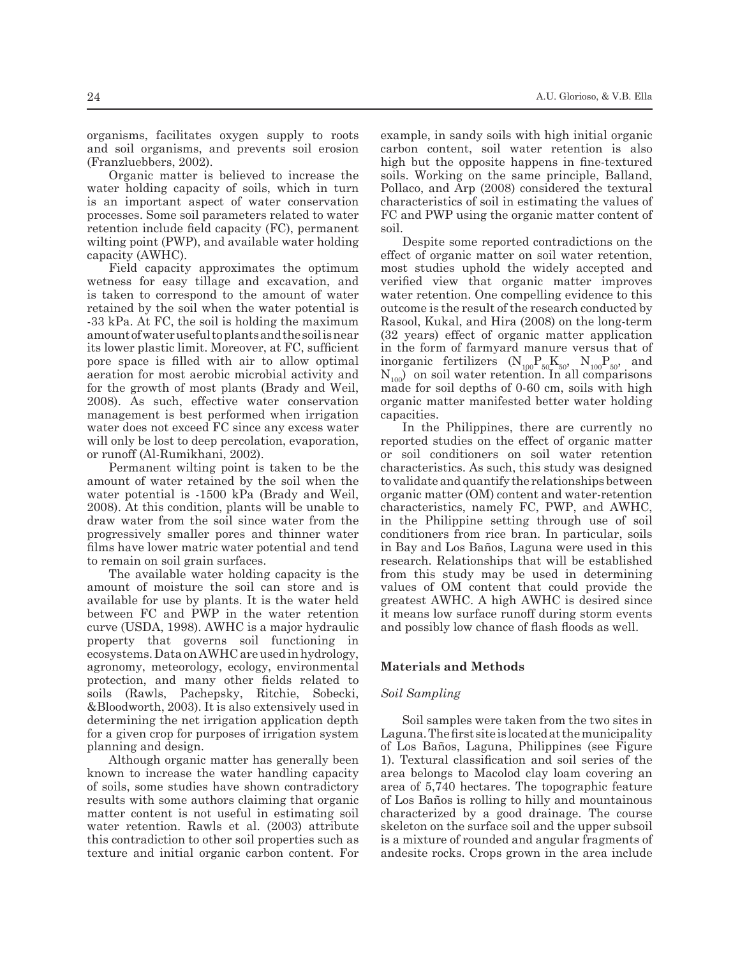organisms, facilitates oxygen supply to roots and soil organisms, and prevents soil erosion (Franzluebbers, 2002).

Organic matter is believed to increase the water holding capacity of soils, which in turn is an important aspect of water conservation processes. Some soil parameters related to water retention include field capacity (FC), permanent wilting point (PWP), and available water holding capacity (AWHC).

Field capacity approximates the optimum wetness for easy tillage and excavation, and is taken to correspond to the amount of water retained by the soil when the water potential is -33 kPa. At FC, the soil is holding the maximum amount of water useful to plants and the soil is near its lower plastic limit. Moreover, at FC, sufficient pore space is filled with air to allow optimal aeration for most aerobic microbial activity and for the growth of most plants (Brady and Weil, 2008). As such, effective water conservation management is best performed when irrigation water does not exceed FC since any excess water will only be lost to deep percolation, evaporation, or runoff (Al-Rumikhani, 2002).

Permanent wilting point is taken to be the amount of water retained by the soil when the water potential is -1500 kPa (Brady and Weil, 2008). At this condition, plants will be unable to draw water from the soil since water from the progressively smaller pores and thinner water films have lower matric water potential and tend to remain on soil grain surfaces.

The available water holding capacity is the amount of moisture the soil can store and is available for use by plants. It is the water held between FC and PWP in the water retention curve (USDA, 1998). AWHC is a major hydraulic property that governs soil functioning in ecosystems. Data on AWHC are used in hydrology, agronomy, meteorology, ecology, environmental protection, and many other fields related to soils (Rawls, Pachepsky, Ritchie, Sobecki, &Bloodworth, 2003). It is also extensively used in determining the net irrigation application depth for a given crop for purposes of irrigation system planning and design.

Although organic matter has generally been known to increase the water handling capacity of soils, some studies have shown contradictory results with some authors claiming that organic matter content is not useful in estimating soil water retention. Rawls et al. (2003) attribute this contradiction to other soil properties such as texture and initial organic carbon content. For example, in sandy soils with high initial organic carbon content, soil water retention is also high but the opposite happens in fine-textured soils. Working on the same principle, Balland, Pollaco, and Arp (2008) considered the textural characteristics of soil in estimating the values of FC and PWP using the organic matter content of soil.

Despite some reported contradictions on the effect of organic matter on soil water retention, most studies uphold the widely accepted and verified view that organic matter improves water retention. One compelling evidence to this outcome is the result of the research conducted by Rasool, Kukal, and Hira (2008) on the long-term (32 years) effect of organic matter application in the form of farmyard manure versus that of inorganic fertilizers  $(N_{100}P_{50}K_{50}, N_{100}P_{50},$  and  $N_{100}$  on soil water retention. In all comparisons made for soil depths of 0-60 cm, soils with high organic matter manifested better water holding capacities.

In the Philippines, there are currently no reported studies on the effect of organic matter or soil conditioners on soil water retention characteristics. As such, this study was designed to validate and quantify the relationships between organic matter (OM) content and water-retention characteristics, namely FC, PWP, and AWHC, in the Philippine setting through use of soil conditioners from rice bran. In particular, soils in Bay and Los Baños, Laguna were used in this research. Relationships that will be established from this study may be used in determining values of OM content that could provide the greatest AWHC. A high AWHC is desired since it means low surface runoff during storm events and possibly low chance of flash floods as well.

## **Materials and Methods**

### *Soil Sampling*

Soil samples were taken from the two sites in Laguna. The first site is located at the municipality of Los Baños, Laguna, Philippines (see Figure 1). Textural classification and soil series of the area belongs to Macolod clay loam covering an area of 5,740 hectares. The topographic feature of Los Baños is rolling to hilly and mountainous characterized by a good drainage. The course skeleton on the surface soil and the upper subsoil is a mixture of rounded and angular fragments of andesite rocks. Crops grown in the area include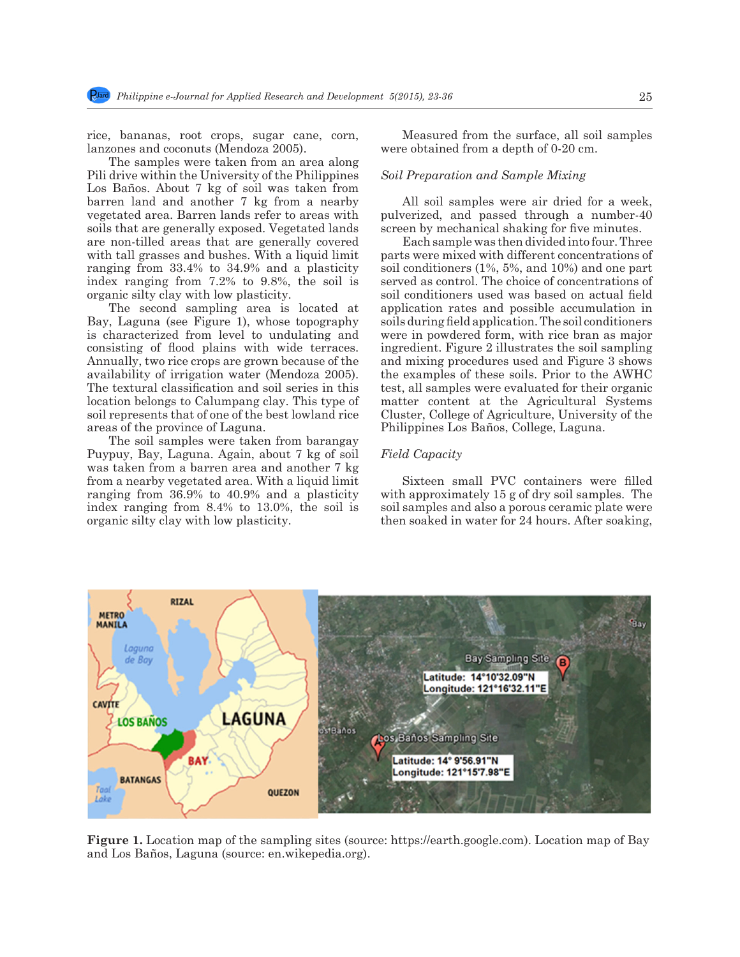rice, bananas, root crops, sugar cane, corn, lanzones and coconuts (Mendoza 2005).

The samples were taken from an area along Pili drive within the University of the Philippines Los Baños. About 7 kg of soil was taken from barren land and another 7 kg from a nearby vegetated area. Barren lands refer to areas with soils that are generally exposed. Vegetated lands are non-tilled areas that are generally covered with tall grasses and bushes. With a liquid limit ranging from 33.4% to 34.9% and a plasticity index ranging from 7.2% to 9.8%, the soil is organic silty clay with low plasticity.

The second sampling area is located at Bay, Laguna (see Figure 1), whose topography is characterized from level to undulating and consisting of flood plains with wide terraces. Annually, two rice crops are grown because of the availability of irrigation water (Mendoza 2005). The textural classification and soil series in this location belongs to Calumpang clay. This type of soil represents that of one of the best lowland rice areas of the province of Laguna.

The soil samples were taken from barangay Puypuy, Bay, Laguna. Again, about 7 kg of soil was taken from a barren area and another 7 kg from a nearby vegetated area. With a liquid limit ranging from 36.9% to 40.9% and a plasticity index ranging from 8.4% to 13.0%, the soil is organic silty clay with low plasticity.

Measured from the surface, all soil samples were obtained from a depth of 0-20 cm.

## *Soil Preparation and Sample Mixing*

All soil samples were air dried for a week, pulverized, and passed through a number-40 screen by mechanical shaking for five minutes.

Each sample was then divided into four. Three parts were mixed with different concentrations of soil conditioners (1%, 5%, and 10%) and one part served as control. The choice of concentrations of soil conditioners used was based on actual field application rates and possible accumulation in soils during field application. The soil conditioners were in powdered form, with rice bran as major ingredient. Figure 2 illustrates the soil sampling and mixing procedures used and Figure 3 shows the examples of these soils. Prior to the AWHC test, all samples were evaluated for their organic matter content at the Agricultural Systems Cluster, College of Agriculture, University of the Philippines Los Baños, College, Laguna.

## *Field Capacity*

Sixteen small PVC containers were filled with approximately 15 g of dry soil samples. The soil samples and also a porous ceramic plate were then soaked in water for 24 hours. After soaking,



**Figure 1.** Location map of the sampling sites (source: https://earth.google.com). Location map of Bay and Los Baños, Laguna (source: en.wikepedia.org).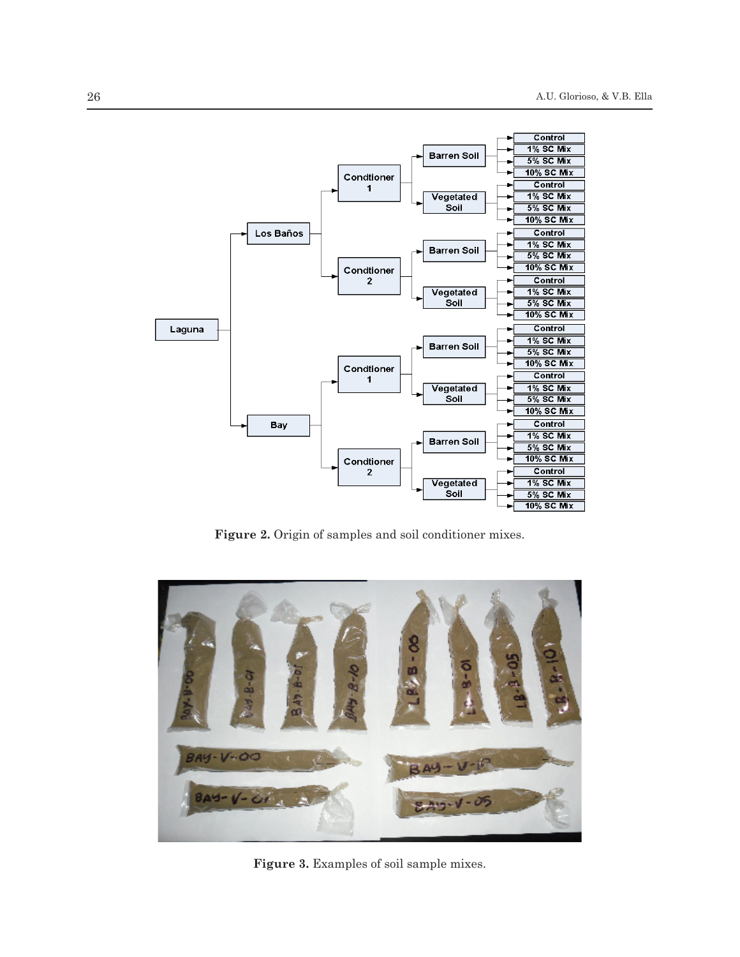

**Figure 2.** Origin of samples and soil conditioner mixes.



**Figure 3.** Examples of soil sample mixes.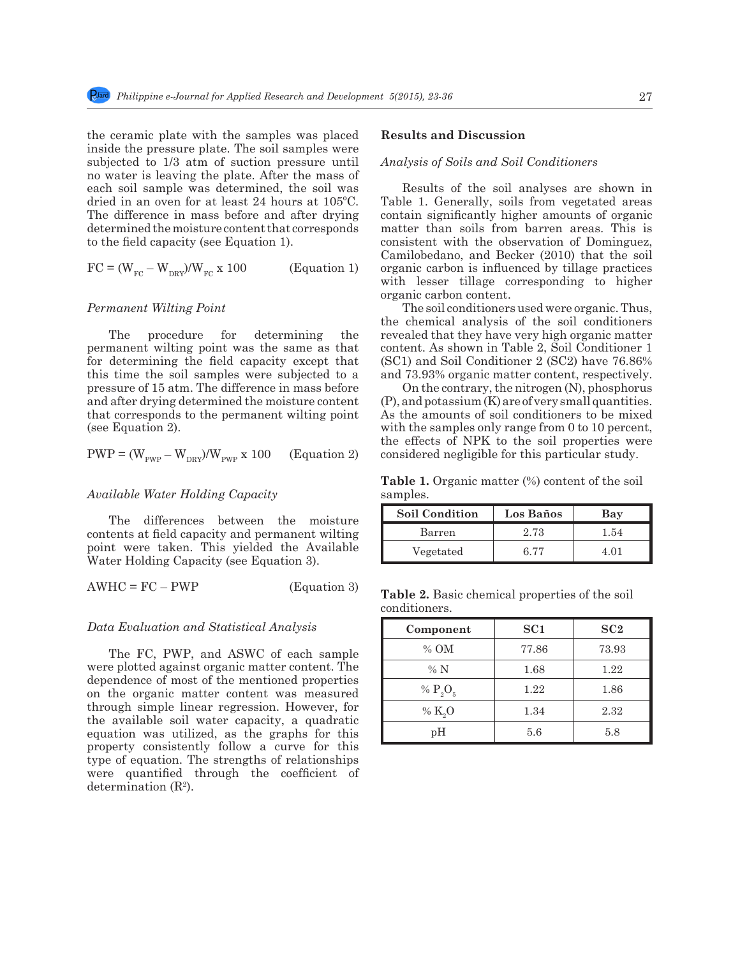the ceramic plate with the samples was placed inside the pressure plate. The soil samples were subjected to 1/3 atm of suction pressure until no water is leaving the plate. After the mass of each soil sample was determined, the soil was dried in an oven for at least 24 hours at 105ºC. The difference in mass before and after drying determined the moisture content that corresponds to the field capacity (see Equation 1).

$$
FC = (W_{FC} - W_{DRY})/W_{FC} \times 100
$$
 (Equation 1)

## *Permanent Wilting Point*

The procedure for determining the permanent wilting point was the same as that for determining the field capacity except that this time the soil samples were subjected to a pressure of 15 atm. The difference in mass before and after drying determined the moisture content that corresponds to the permanent wilting point (see Equation 2).

$$
PWP = (W_{PWP} - W_{DRY})/W_{PWP} \times 100
$$
 (Equation 2)

#### *Available Water Holding Capacity*

The differences between the moisture contents at field capacity and permanent wilting point were taken. This yielded the Available Water Holding Capacity (see Equation 3).

 $AWHC = FC - PWP$  (Equation 3)

#### *Data Evaluation and Statistical Analysis*

The FC, PWP, and ASWC of each sample were plotted against organic matter content. The dependence of most of the mentioned properties on the organic matter content was measured through simple linear regression. However, for the available soil water capacity, a quadratic equation was utilized, as the graphs for this property consistently follow a curve for this type of equation. The strengths of relationships were quantified through the coefficient of determination  $(R^2)$ .

## **Results and Discussion**

## *Analysis of Soils and Soil Conditioners*

Results of the soil analyses are shown in Table 1. Generally, soils from vegetated areas contain significantly higher amounts of organic matter than soils from barren areas. This is consistent with the observation of Dominguez, Camilobedano, and Becker (2010) that the soil organic carbon is influenced by tillage practices with lesser tillage corresponding to higher organic carbon content.

The soil conditioners used were organic. Thus, the chemical analysis of the soil conditioners revealed that they have very high organic matter content. As shown in Table 2, Soil Conditioner 1 (SC1) and Soil Conditioner 2 (SC2) have 76.86% and 73.93% organic matter content, respectively.

On the contrary, the nitrogen (N), phosphorus (P), and potassium (K) are of very small quantities. As the amounts of soil conditioners to be mixed with the samples only range from 0 to 10 percent, the effects of NPK to the soil properties were considered negligible for this particular study.

**Table 1.** Organic matter (%) content of the soil samples.

| <b>Soil Condition</b> | Los Baños | Bay   |
|-----------------------|-----------|-------|
| Barren                | 2.73      | 1.54  |
| Vegetated             | 6.77      | 4 O 1 |

**Table 2.** Basic chemical properties of the soil conditioners.

| Component  | SC1   | SC <sub>2</sub> |
|------------|-------|-----------------|
| $%$ OM     | 77.86 | 73.93           |
| %N         | 1.68  | 1.22            |
| % $P_2O_5$ | 1.22  | 1.86            |
| % $K_2O$   | 1.34  | 2.32            |
| pH         | 5.6   | 5.8             |

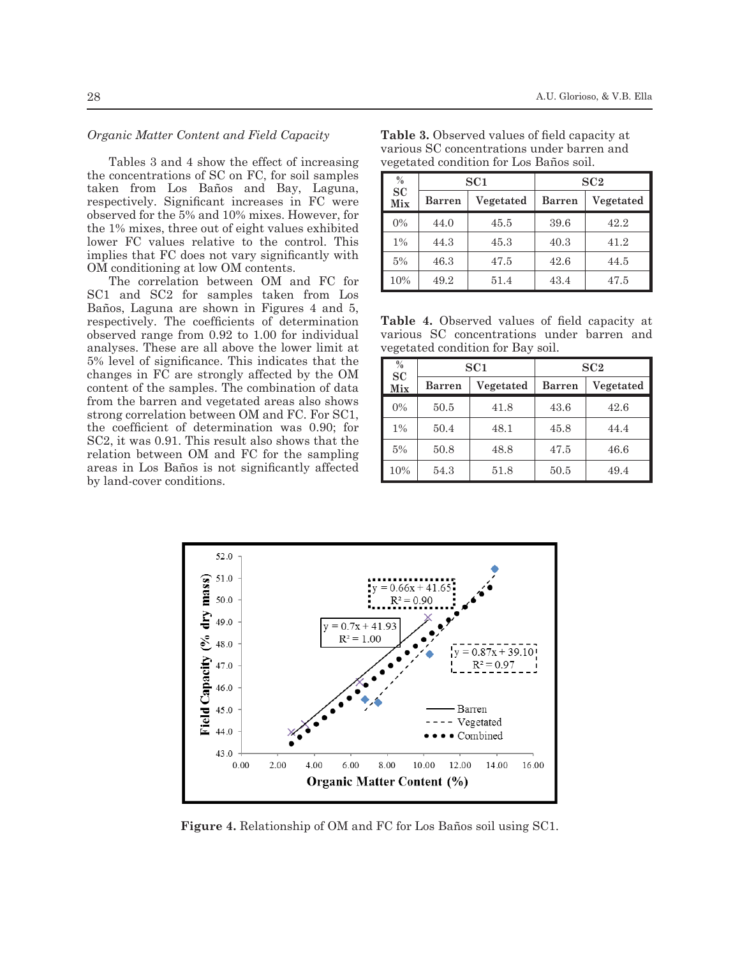## *Organic Matter Content and Field Capacity*

Tables 3 and 4 show the effect of increasing the concentrations of SC on FC, for soil samples taken from Los Baños and Bay, Laguna, respectively. Significant increases in FC were observed for the 5% and 10% mixes. However, for the 1% mixes, three out of eight values exhibited lower FC values relative to the control. This implies that FC does not vary significantly with OM conditioning at low OM contents.

The correlation between OM and FC for SC1 and SC2 for samples taken from Los Baños, Laguna are shown in Figures 4 and 5, respectively. The coefficients of determination observed range from 0.92 to 1.00 for individual analyses. These are all above the lower limit at 5% level of significance. This indicates that the changes in FC are strongly affected by the OM content of the samples. The combination of data from the barren and vegetated areas also shows strong correlation between OM and FC. For SC1, the coefficient of determination was 0.90; for SC2, it was 0.91. This result also shows that the relation between OM and FC for the sampling areas in Los Baños is not significantly affected by land-cover conditions.

| $\%$      | SC1    |           | SC <sub>2</sub> |           |
|-----------|--------|-----------|-----------------|-----------|
| SC<br>Mix | Barren | Vegetated | <b>Barren</b>   | Vegetated |
| 0%        | 44.0   | 45.5      | 39.6            | 42.2      |
| $1\%$     | 44.3   | 45.3      | 40.3            | 41.2      |
| 5%        | 46.3   | 47.5      | 42.6            | 44.5      |
| 10%       | 49.2   | 51.4      | 43.4            | 47.5      |

**Table 3.** Observed values of field capacity at various SC concentrations under barren and vegetated condition for Los Baños soil.

**Table 4.** Observed values of field capacity at various SC concentrations under barren and vegetated condition for Bay soil.

| $\%$<br>SC | SC1    |           | SC2           |           |
|------------|--------|-----------|---------------|-----------|
| Mix        | Barren | Vegetated | <b>Barren</b> | Vegetated |
| $0\%$      | 50.5   | 41.8      | 43.6          | 42.6      |
| $1\%$      | 50.4   | 48.1      | 45.8          | 44.4      |
| 5%         | 50.8   | 48.8      | 47.5          | 46.6      |
| 10%        | 54.3   | 51.8      | 50.5          | 49.4      |



**Figure 4.** Relationship of OM and FC for Los Baños soil using SC1.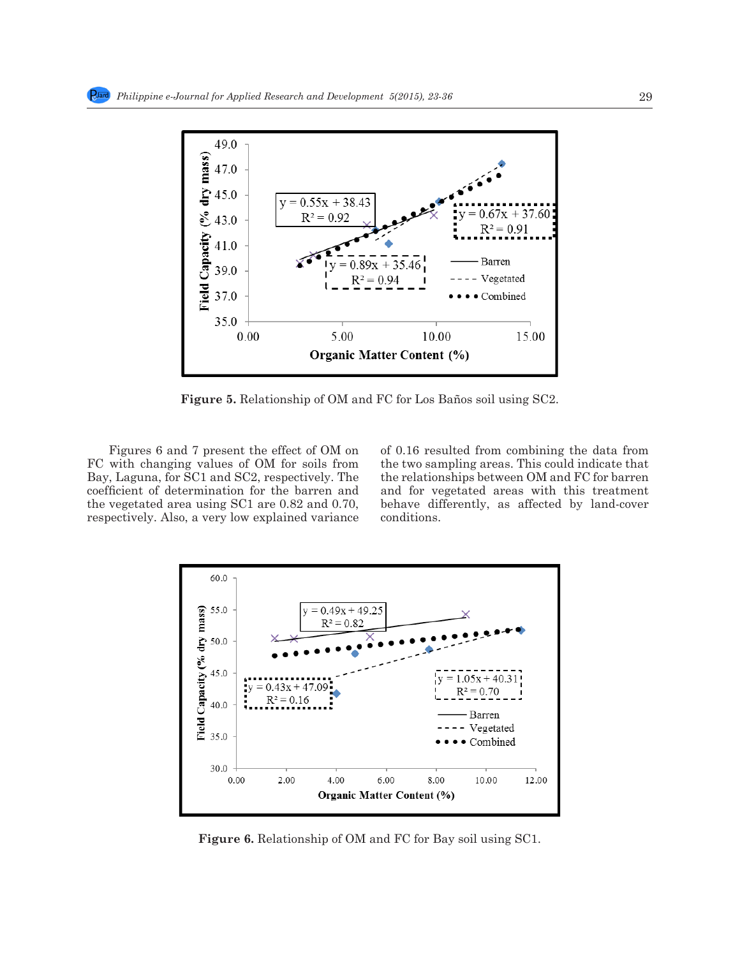

**Figure 5.** Relationship of OM and FC for Los Baños soil using SC2.

Figures 6 and 7 present the effect of OM on FC with changing values of OM for soils from Bay, Laguna, for SC1 and SC2, respectively. The coefficient of determination for the barren and the vegetated area using SC1 are 0.82 and 0.70, respectively. Also, a very low explained variance of 0.16 resulted from combining the data from the two sampling areas. This could indicate that the relationships between OM and FC for barren and for vegetated areas with this treatment behave differently, as affected by land-cover conditions.



**Figure 6.** Relationship of OM and FC for Bay soil using SC1.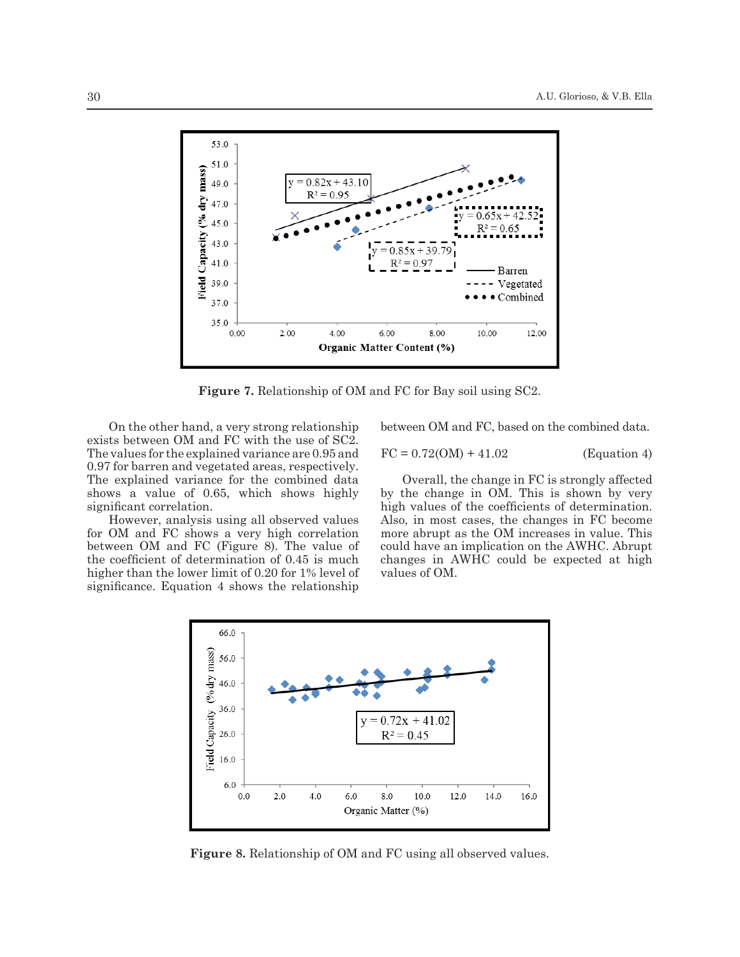

**Figure 7.** Relationship of OM and FC for Bay soil using SC2.

On the other hand, a very strong relationship exists between OM and FC with the use of SC2. The values for the explained variance are 0.95 and 0.97 for barren and vegetated areas, respectively. The explained variance for the combined data shows a value of 0.65, which shows highly significant correlation.

However, analysis using all observed values for OM and FC shows a very high correlation between OM and FC (Figure 8). The value of the coefficient of determination of 0.45 is much higher than the lower limit of 0.20 for 1% level of significance. Equation 4 shows the relationship between OM and FC, based on the combined data.

$$
FC = 0.72(OM) + 41.02
$$
 (Equation 4)

Overall, the change in FC is strongly affected by the change in OM. This is shown by very high values of the coefficients of determination. Also, in most cases, the changes in FC become more abrupt as the OM increases in value. This could have an implication on the AWHC. Abrupt changes in AWHC could be expected at high values of OM.



**Figure 8.** Relationship of OM and FC using all observed values.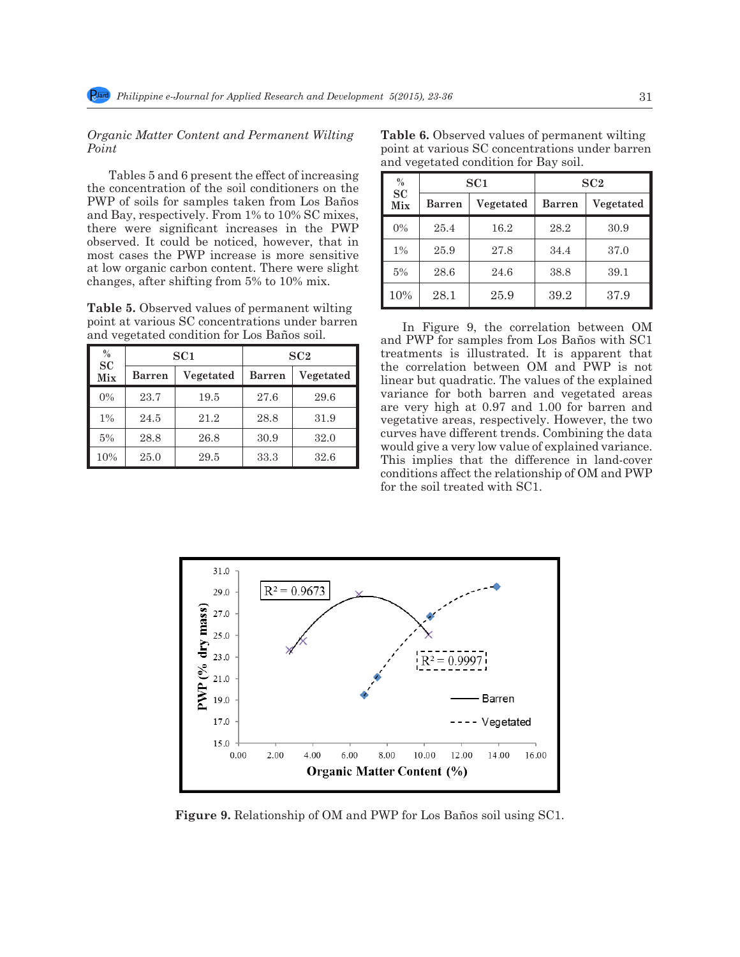*Organic Matter Content and Permanent Wilting Point*

Tables 5 and 6 present the effect of increasing the concentration of the soil conditioners on the PWP of soils for samples taken from Los Baños and Bay, respectively. From 1% to 10% SC mixes, there were significant increases in the PWP observed. It could be noticed, however, that in most cases the PWP increase is more sensitive at low organic carbon content. There were slight changes, after shifting from 5% to 10% mix.

**Table 5.** Observed values of permanent wilting point at various SC concentrations under barren and vegetated condition for Los Baños soil.

| $\%$<br><b>SC</b> | SC1           |           | SC <sub>2</sub> |           |
|-------------------|---------------|-----------|-----------------|-----------|
| Mix               | <b>Barren</b> | Vegetated | <b>Barren</b>   | Vegetated |
| $0\%$             | 23.7          | 19.5      | 27.6            | 29.6      |
| $1\%$             | 24.5          | 21.2      | 28.8            | 31.9      |
| 5%                | 28.8          | 26.8      | 30.9            | 32.0      |
| 10%               | 25.0          | 29.5      | 33.3            | 32.6      |

and vegetated condition for Bay soil. **% SC Mix SC1 SC2 Barren Vegetated Barren Vegetated** 0% | 25.4 | 16.2 | 28.2 | 30.9 1% 25.9 27.8 34.4 37.0 5% | 28.6 | 24.6 | 38.8 | 39.1 10% 28.1 25.9 39.2 37.9

**Table 6.** Observed values of permanent wilting point at various SC concentrations under barren

In Figure 9, the correlation between OM and PWP for samples from Los Baños with SC1 treatments is illustrated. It is apparent that the correlation between OM and PWP is not linear but quadratic. The values of the explained variance for both barren and vegetated areas are very high at 0.97 and 1.00 for barren and vegetative areas, respectively. However, the two curves have different trends. Combining the data would give a very low value of explained variance. This implies that the difference in land-cover conditions affect the relationship of OM and PWP for the soil treated with SC1.



**Figure 9.** Relationship of OM and PWP for Los Baños soil using SC1.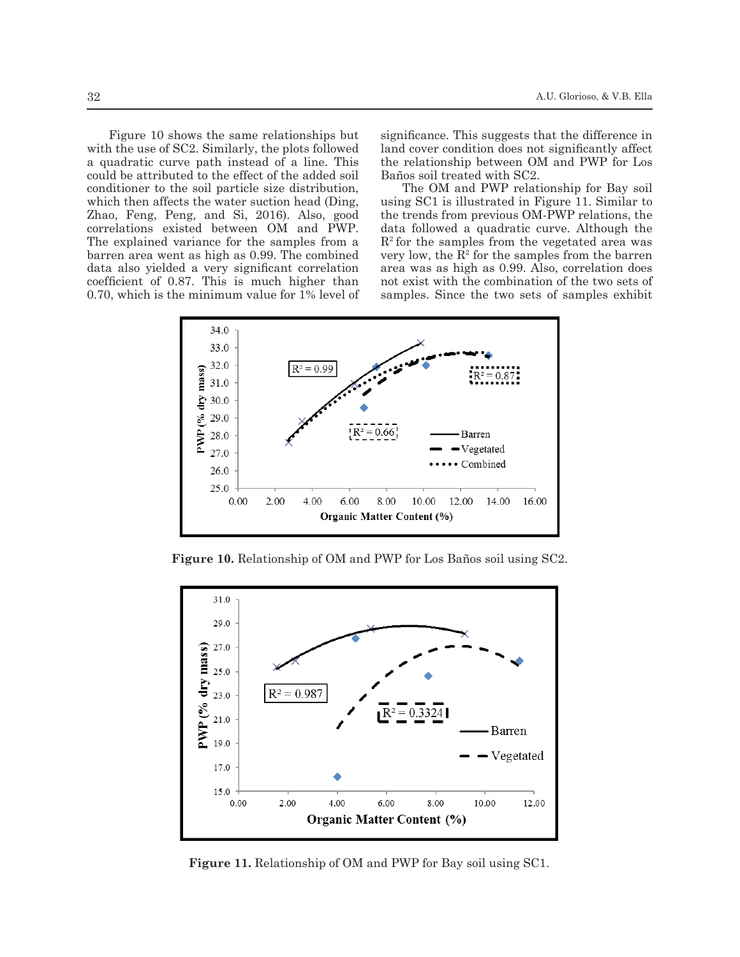Figure 10 shows the same relationships but with the use of SC2. Similarly, the plots followed a quadratic curve path instead of a line. This could be attributed to the effect of the added soil conditioner to the soil particle size distribution, which then affects the water suction head (Ding, Zhao, Feng, Peng, and Si, 2016). Also, good correlations existed between OM and PWP. The explained variance for the samples from a barren area went as high as 0.99. The combined data also yielded a very significant correlation coefficient of 0.87. This is much higher than 0.70, which is the minimum value for 1% level of significance. This suggests that the difference in land cover condition does not significantly affect the relationship between OM and PWP for Los Baños soil treated with SC2.

The OM and PWP relationship for Bay soil using SC1 is illustrated in Figure 11. Similar to the trends from previous OM-PWP relations, the data followed a quadratic curve. Although the  $R<sup>2</sup>$  for the samples from the vegetated area was very low, the  $R^2$  for the samples from the barren area was as high as 0.99. Also, correlation does not exist with the combination of the two sets of samples. Since the two sets of samples exhibit



**Figure 10.** Relationship of OM and PWP for Los Baños soil using SC2.



**Figure 11.** Relationship of OM and PWP for Bay soil using SC1.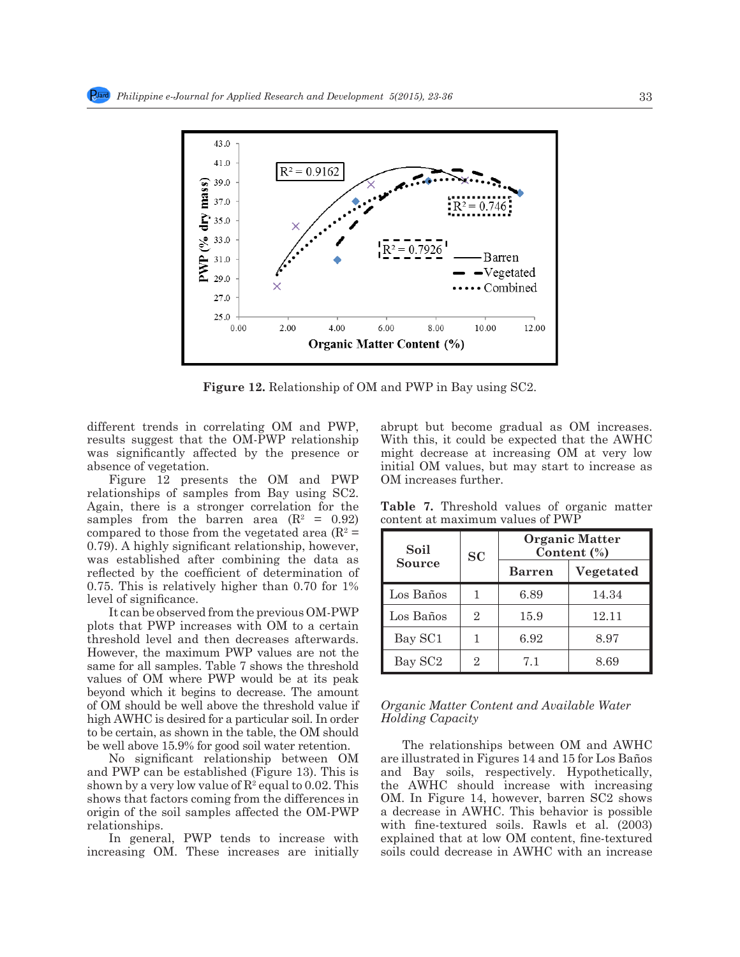

**Figure 12.** Relationship of OM and PWP in Bay using SC2.

different trends in correlating OM and PWP, results suggest that the OM-PWP relationship was significantly affected by the presence or absence of vegetation.

Figure 12 presents the OM and PWP relationships of samples from Bay using SC2. Again, there is a stronger correlation for the samples from the barren area  $(R^2 = 0.92)$ compared to those from the vegetated area  $(R^2 =$ 0.79). A highly significant relationship, however, was established after combining the data as reflected by the coefficient of determination of 0.75. This is relatively higher than 0.70 for 1% level of significance.

It can be observed from the previous OM-PWP plots that PWP increases with OM to a certain threshold level and then decreases afterwards. However, the maximum PWP values are not the same for all samples. Table 7 shows the threshold values of OM where PWP would be at its peak beyond which it begins to decrease. The amount of OM should be well above the threshold value if high AWHC is desired for a particular soil. In order to be certain, as shown in the table, the OM should be well above 15.9% for good soil water retention.

No significant relationship between OM and PWP can be established (Figure 13). This is shown by a very low value of  $\mathrm{R}^2$  equal to 0.02. This shows that factors coming from the differences in origin of the soil samples affected the OM-PWP relationships.

In general, PWP tends to increase with increasing OM. These increases are initially abrupt but become gradual as OM increases. With this, it could be expected that the AWHC might decrease at increasing OM at very low initial OM values, but may start to increase as OM increases further.

**Table 7.** Threshold values of organic matter content at maximum values of PWP

| Soil                | SC | <b>Organic Matter</b><br>Content (%) |           |  |
|---------------------|----|--------------------------------------|-----------|--|
| <b>Source</b>       |    | <b>Barren</b>                        | Vegetated |  |
| Los Baños           |    | 6.89                                 | 14.34     |  |
| Los Baños           | 2  | 15.9                                 | 12.11     |  |
| Bay SC1             |    | 6.92                                 | 8.97      |  |
| Bay SC <sub>2</sub> | 2  | 7.1                                  | 8.69      |  |

## *Organic Matter Content and Available Water Holding Capacity*

The relationships between OM and AWHC are illustrated in Figures 14 and 15 for Los Baños and Bay soils, respectively. Hypothetically, the AWHC should increase with increasing OM. In Figure 14, however, barren SC2 shows a decrease in AWHC. This behavior is possible with fine-textured soils. Rawls et al. (2003) explained that at low OM content, fine-textured soils could decrease in AWHC with an increase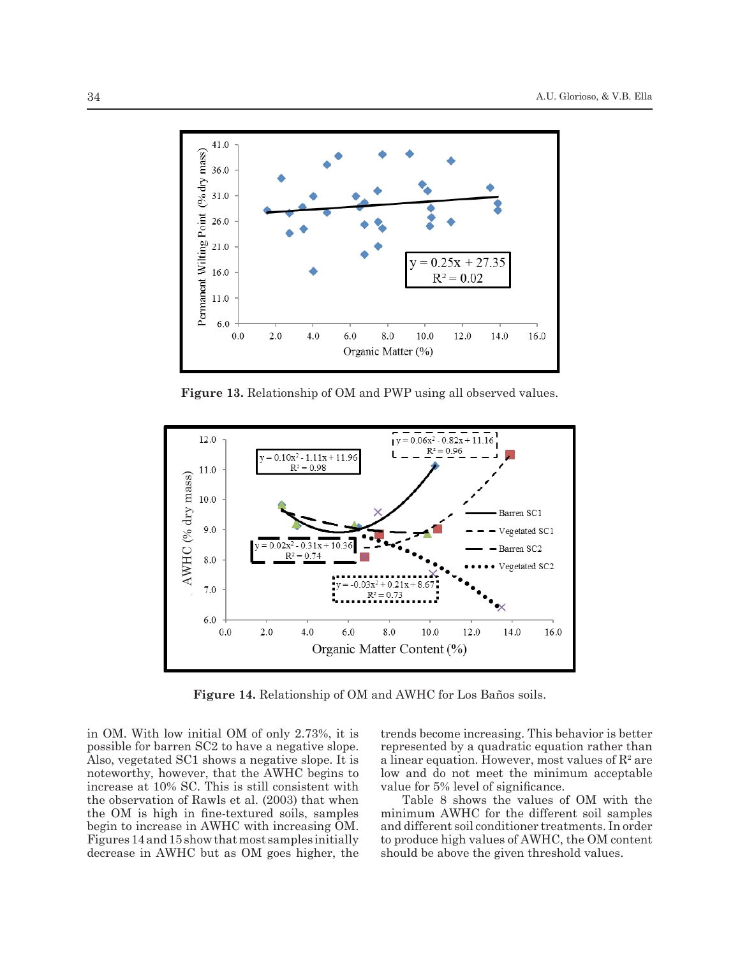

**Figure 13.** Relationship of OM and PWP using all observed values.



**Figure 14.** Relationship of OM and AWHC for Los Baños soils.

in OM. With low initial OM of only 2.73%, it is possible for barren SC2 to have a negative slope. Also, vegetated SC1 shows a negative slope. It is noteworthy, however, that the AWHC begins to increase at 10% SC. This is still consistent with the observation of Rawls et al. (2003) that when the OM is high in fine-textured soils, samples begin to increase in AWHC with increasing OM. Figures 14 and 15 show that most samples initially decrease in AWHC but as OM goes higher, the trends become increasing. This behavior is better represented by a quadratic equation rather than a linear equation. However, most values of  $\mathrm{R}^{\scriptscriptstyle{2}}$  are low and do not meet the minimum acceptable value for 5% level of significance.

Table 8 shows the values of OM with the minimum AWHC for the different soil samples and different soil conditioner treatments. In order to produce high values of AWHC, the OM content should be above the given threshold values.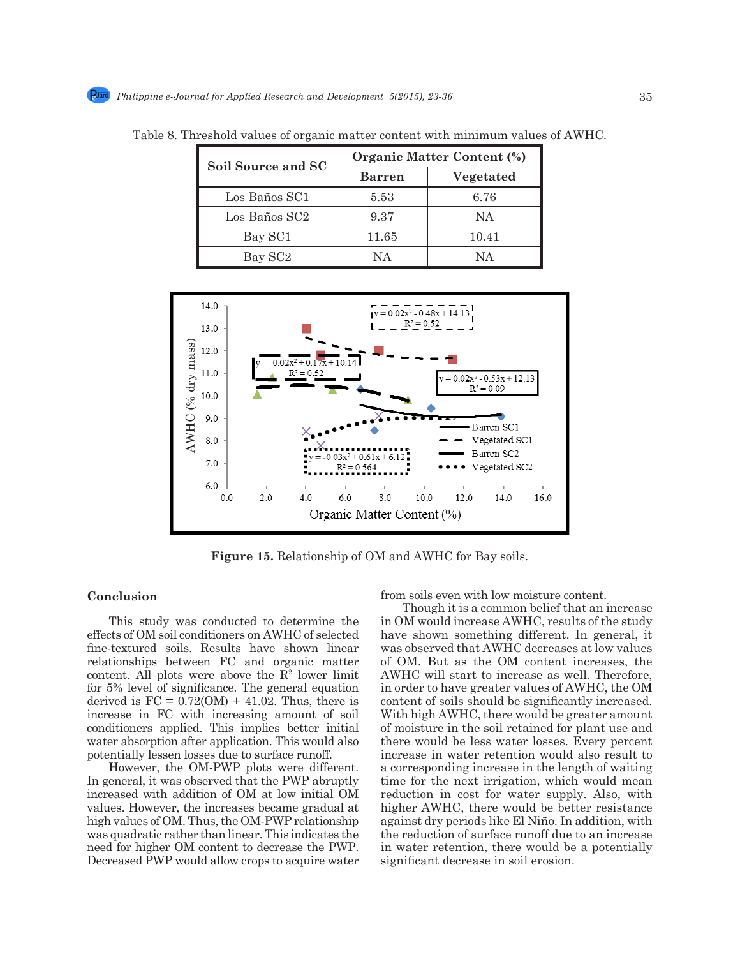| Soil Source and SC  | <b>Organic Matter Content (%)</b> |           |  |
|---------------------|-----------------------------------|-----------|--|
|                     | <b>Barren</b>                     | Vegetated |  |
| Los Baños SC1       | 5.53                              | 6.76      |  |
| Los Baños SC2       | 9.37                              | NΑ        |  |
| Bay SC1             | 11.65                             | 10.41     |  |
| Bay SC <sub>2</sub> | NΑ                                | NΑ        |  |

Table 8. Threshold values of organic matter content with minimum values of AWHC.



**Figure 15.** Relationship of OM and AWHC for Bay soils.

## **Conclusion**

This study was conducted to determine the effects of OM soil conditioners on AWHC of selected fine-textured soils. Results have shown linear relationships between FC and organic matter content. All plots were above the  $\mathbb{R}^2$  lower limit for 5% level of significance. The general equation derived is  $FC = 0.72(OM) + 41.02$ . Thus, there is increase in FC with increasing amount of soil conditioners applied. This implies better initial water absorption after application. This would also potentially lessen losses due to surface runoff.

However, the OM-PWP plots were different. In general, it was observed that the PWP abruptly increased with addition of OM at low initial OM values. However, the increases became gradual at high values of OM. Thus, the OM-PWP relationship was quadratic rather than linear. This indicates the need for higher OM content to decrease the PWP. Decreased PWP would allow crops to acquire water from soils even with low moisture content.

Though it is a common belief that an increase in OM would increase AWHC, results of the study have shown something different. In general, it was observed that AWHC decreases at low values of OM. But as the OM content increases, the AWHC will start to increase as well. Therefore, in order to have greater values of AWHC, the OM content of soils should be significantly increased. With high AWHC, there would be greater amount of moisture in the soil retained for plant use and there would be less water losses. Every percent increase in water retention would also result to a corresponding increase in the length of waiting time for the next irrigation, which would mean reduction in cost for water supply. Also, with higher AWHC, there would be better resistance against dry periods like El Niño. In addition, with the reduction of surface runoff due to an increase in water retention, there would be a potentially significant decrease in soil erosion.